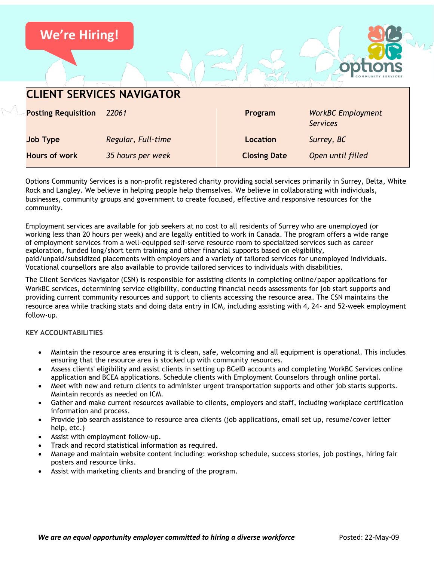

| <b>CLIENT SERVICES NAVIGATOR</b> |                    |                     |                                             |
|----------------------------------|--------------------|---------------------|---------------------------------------------|
| <b>Posting Requisition</b>       | 22061              | Program             | <b>WorkBC</b> Employment<br><b>Services</b> |
| <b>Job Type</b>                  | Regular, Full-time | <b>Location</b>     | Surrey, BC                                  |
| <b>Hours of work</b>             | 35 hours per week  | <b>Closing Date</b> | Open until filled                           |

Options Community Services is a non-profit registered charity providing social services primarily in Surrey, Delta, White Rock and Langley. We believe in helping people help themselves. We believe in collaborating with individuals, businesses, community groups and government to create focused, effective and responsive resources for the community.

Employment services are available for job seekers at no cost to all residents of Surrey who are unemployed (or working less than 20 hours per week) and are legally entitled to work in Canada. The program offers a wide range of employment services from a well-equipped self-serve resource room to specialized services such as career exploration, funded long/short term training and other financial supports based on eligibility, paid/unpaid/subsidized placements with employers and a variety of tailored services for unemployed individuals. Vocational counsellors are also available to provide tailored services to individuals with disabilities.

The Client Services Navigator (CSN) is responsible for assisting clients in completing online/paper applications for WorkBC services, determining service eligibility, conducting financial needs assessments for job start supports and providing current community resources and support to clients accessing the resource area. The CSN maintains the resource area while tracking stats and doing data entry in ICM, including assisting with 4, 24- and 52-week employment follow-up.

# **KEY ACCOUNTABILITIES**

- Maintain the resource area ensuring it is clean, safe, welcoming and all equipment is operational. This includes ensuring that the resource area is stocked up with community resources.
- Assess clients' eligibility and assist clients in setting up BCeID accounts and completing WorkBC Services online application and BCEA applications. Schedule clients with Employment Counselors through online portal.
- Meet with new and return clients to administer urgent transportation supports and other job starts supports. Maintain records as needed on ICM.
- Gather and make current resources available to clients, employers and staff, including workplace certification information and process.
- Provide job search assistance to resource area clients (job applications, email set up, resume/cover letter help, etc.)
- Assist with employment follow-up.
- Track and record statistical information as required.
- Manage and maintain website content including: workshop schedule, success stories, job postings, hiring fair posters and resource links.
- Assist with marketing clients and branding of the program.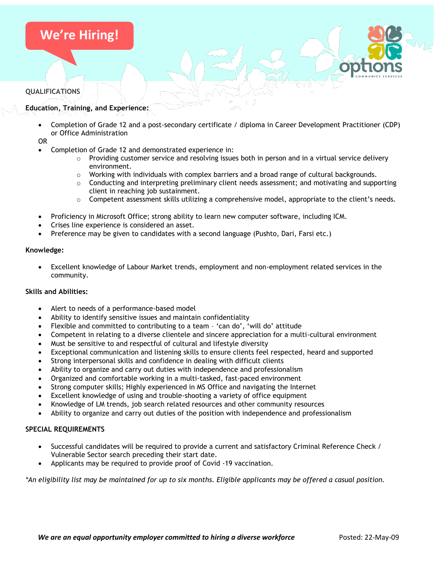# **We're Hiring!**

### **QUALIFICATIONS**

# **Education, Training, and Experience:**

• Completion of Grade 12 and a post-secondary certificate / diploma in Career Development Practitioner (CDP) or Office Administration

OR

- Completion of Grade 12 and demonstrated experience in:
	- $\circ$  Providing customer service and resolving issues both in person and in a virtual service delivery environment.
	- $\circ$  Working with individuals with complex barriers and a broad range of cultural backgrounds.
	- $\circ$  Conducting and interpreting preliminary client needs assessment; and motivating and supporting client in reaching job sustainment.
	- $\circ$  Competent assessment skills utilizing a comprehensive model, appropriate to the client's needs.
- Proficiency in Microsoft Office; strong ability to learn new computer software, including ICM.
- Crises line experience is considered an asset.
- Preference may be given to candidates with a second language (Pushto, Dari, Farsi etc.)

### **Knowledge:**

• Excellent knowledge of Labour Market trends, employment and non-employment related services in the community.

### **Skills and Abilities:**

- Alert to needs of a performance-based model
- Ability to identify sensitive issues and maintain confidentiality
- Flexible and committed to contributing to a team 'can do', 'will do' attitude
- Competent in relating to a diverse clientele and sincere appreciation for a multi-cultural environment
- Must be sensitive to and respectful of cultural and lifestyle diversity
- Exceptional communication and listening skills to ensure clients feel respected, heard and supported
- Strong interpersonal skills and confidence in dealing with difficult clients
- Ability to organize and carry out duties with independence and professionalism
- Organized and comfortable working in a multi-tasked, fast-paced environment
- Strong computer skills; Highly experienced in MS Office and navigating the Internet
- Excellent knowledge of using and trouble-shooting a variety of office equipment
- Knowledge of LM trends, job search related resources and other community resources
- Ability to organize and carry out duties of the position with independence and professionalism

# **SPECIAL REQUIREMENTS**

- Successful candidates will be required to provide a current and satisfactory Criminal Reference Check / Vulnerable Sector search preceding their start date.
- Applicants may be required to provide proof of Covid -19 vaccination.

*\*An eligibility list may be maintained for up to six months. Eligible applicants may be offered a casual position.*